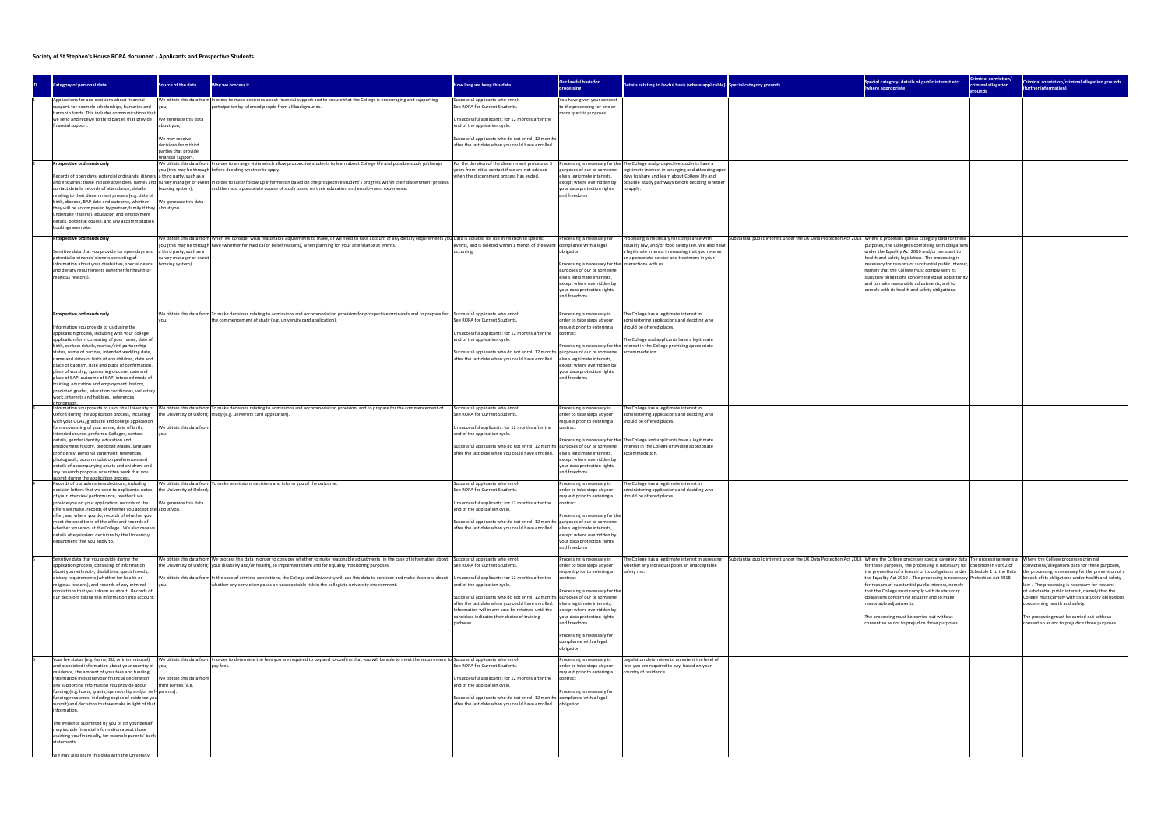| Special category- details of public interest etc<br>(where appropriate)                                                                                                                                               | Criminal conviction/<br>criminal allegation<br>grounds                                            | <b>Criminal conviction/criminal allegation grounds</b><br>(further information)                                                                                                                      |
|-----------------------------------------------------------------------------------------------------------------------------------------------------------------------------------------------------------------------|---------------------------------------------------------------------------------------------------|------------------------------------------------------------------------------------------------------------------------------------------------------------------------------------------------------|
|                                                                                                                                                                                                                       |                                                                                                   |                                                                                                                                                                                                      |
|                                                                                                                                                                                                                       |                                                                                                   |                                                                                                                                                                                                      |
|                                                                                                                                                                                                                       |                                                                                                   |                                                                                                                                                                                                      |
|                                                                                                                                                                                                                       |                                                                                                   |                                                                                                                                                                                                      |
|                                                                                                                                                                                                                       |                                                                                                   |                                                                                                                                                                                                      |
|                                                                                                                                                                                                                       |                                                                                                   |                                                                                                                                                                                                      |
| Where it processes special category data for these<br>purposes, the College is complying with obligations                                                                                                             |                                                                                                   |                                                                                                                                                                                                      |
| under the Equality Act 2010 and/or pursuant to<br>health and safety legislation. The processing is<br>necessary for reasons of substantial public interest,                                                           |                                                                                                   |                                                                                                                                                                                                      |
| namely that the College must comply with its<br>statutory obligations concerning equal opportunity<br>and to make reasonable adjustments, and to<br>comply with its health and safety obligations.                    |                                                                                                   |                                                                                                                                                                                                      |
|                                                                                                                                                                                                                       |                                                                                                   |                                                                                                                                                                                                      |
|                                                                                                                                                                                                                       |                                                                                                   |                                                                                                                                                                                                      |
|                                                                                                                                                                                                                       |                                                                                                   |                                                                                                                                                                                                      |
|                                                                                                                                                                                                                       |                                                                                                   |                                                                                                                                                                                                      |
|                                                                                                                                                                                                                       |                                                                                                   |                                                                                                                                                                                                      |
|                                                                                                                                                                                                                       |                                                                                                   |                                                                                                                                                                                                      |
|                                                                                                                                                                                                                       |                                                                                                   |                                                                                                                                                                                                      |
|                                                                                                                                                                                                                       |                                                                                                   |                                                                                                                                                                                                      |
|                                                                                                                                                                                                                       |                                                                                                   |                                                                                                                                                                                                      |
|                                                                                                                                                                                                                       |                                                                                                   |                                                                                                                                                                                                      |
|                                                                                                                                                                                                                       |                                                                                                   |                                                                                                                                                                                                      |
|                                                                                                                                                                                                                       |                                                                                                   |                                                                                                                                                                                                      |
| Where the College processes special category data<br>for these purposes, the processing is necessary for<br>the prevention of a breach of its obligations under<br>the Equality Act 2010. The processing is necessary | The processing meets a<br>condition in Part 2 of<br>Schedule 1 to the Data<br>Protection Act 2018 | Where the College processes criminal<br>convictions/allegations data for these purposes,<br>the processing is necessary for the prevention of a<br>breach of its obligations under health and safety |
| for reasons of substantial public interest, namely<br>that the College must comply with its statutory<br>obligations concerning equality and to make                                                                  |                                                                                                   | law. The processing is necessary for reasons<br>of substantial public interest, namely that the<br>College must comply with its statutory obligations                                                |
| reasonable adjustments.<br>The processing must be carried out without<br>consent so as not to prejudice those purposes.                                                                                               |                                                                                                   | concernning health and safety.<br>The processing must be carried out without<br>consent so as not to prejudice those purposes.                                                                       |
|                                                                                                                                                                                                                       |                                                                                                   |                                                                                                                                                                                                      |
|                                                                                                                                                                                                                       |                                                                                                   |                                                                                                                                                                                                      |
|                                                                                                                                                                                                                       |                                                                                                   |                                                                                                                                                                                                      |
|                                                                                                                                                                                                                       |                                                                                                   |                                                                                                                                                                                                      |
|                                                                                                                                                                                                                       |                                                                                                   |                                                                                                                                                                                                      |
|                                                                                                                                                                                                                       |                                                                                                   |                                                                                                                                                                                                      |

## Society of St Stephen's House ROPA document - Applicants and Prospective Students

| Category of personal data                                                                                                                                                                                                                                                                                                                                                                                                                                                                                                                                                                                                                                                                          | Source of the data                                                                                                                  | Why we process it                                                                                                                                                                                                                                                                                                                                                                                                                                                                                                                                    | How long we keep this data                                                                                                                                                                                                                                                                                                                                                 | Our lawful basis for<br>processing                                                                                                                                                                                                                                                                                          | Details relating to lawful basis (where applicable) Special category grounds                                                                                                                                                                                            |                                                                                                                      | Special category- details of public interest etc<br>(where appropriate)                                                                                                                                                                                                                                                                                                                                                                             |
|----------------------------------------------------------------------------------------------------------------------------------------------------------------------------------------------------------------------------------------------------------------------------------------------------------------------------------------------------------------------------------------------------------------------------------------------------------------------------------------------------------------------------------------------------------------------------------------------------------------------------------------------------------------------------------------------------|-------------------------------------------------------------------------------------------------------------------------------------|------------------------------------------------------------------------------------------------------------------------------------------------------------------------------------------------------------------------------------------------------------------------------------------------------------------------------------------------------------------------------------------------------------------------------------------------------------------------------------------------------------------------------------------------------|----------------------------------------------------------------------------------------------------------------------------------------------------------------------------------------------------------------------------------------------------------------------------------------------------------------------------------------------------------------------------|-----------------------------------------------------------------------------------------------------------------------------------------------------------------------------------------------------------------------------------------------------------------------------------------------------------------------------|-------------------------------------------------------------------------------------------------------------------------------------------------------------------------------------------------------------------------------------------------------------------------|----------------------------------------------------------------------------------------------------------------------|-----------------------------------------------------------------------------------------------------------------------------------------------------------------------------------------------------------------------------------------------------------------------------------------------------------------------------------------------------------------------------------------------------------------------------------------------------|
| Applications for and decisions about financial<br>support, for example scholarships, bursaries and<br>hardship funds. This includes communications that<br>we send and receive to third parties that provide<br>financial support.                                                                                                                                                                                                                                                                                                                                                                                                                                                                 | lyou;<br>We generate this data<br>about you;<br>We may receive<br>decisions from third<br>parties that provide<br>financial support | We obtain this data from  In order to make decisions about financial support and to ensure that the College is encouraging and supporting<br>participation by talented people from all backgrounds.                                                                                                                                                                                                                                                                                                                                                  | Successful applicants who enrol:<br>See ROPA for Current Students.<br>Unsuccessful applicants: for 12 months after the<br>end of the application cycle.<br>Successful applicants who do not enrol: 12 months<br>after the last date when you could have enrolled.                                                                                                          | You have given your consent<br>to the processing for one or<br>nore specific purposes.                                                                                                                                                                                                                                      |                                                                                                                                                                                                                                                                         |                                                                                                                      |                                                                                                                                                                                                                                                                                                                                                                                                                                                     |
| <b>Prospective ordinands only</b><br>Records of open days, potential ordinands' dinners  a third party, such as a<br>contact details, records of attendance, details<br>relating to their discernment process (e.g. date of<br>birth, diocese, BAP date and outcome, whether<br>they will be accompanied by partner/family if they about you.<br>undertake training), education and employment<br>details, potential course, and any accommodation<br>bookings we make.                                                                                                                                                                                                                            | booking system);<br>We generate this data                                                                                           | We obtain this data from In order to arrange visits which allow prospective students to learn about College life and possible study pathways<br>you (this may be through before deciding whether to apply.<br>and enquiries: these include attendees' names and  survey manager or event  In order to tailor follow up information based on the prospective student's progress within their discernment process<br>and the most appropriate course of study based on their education and employment experience.                                      | For the duration of the discernment process or 3<br>years from initial contact if we are not advised<br>when the discernment process has ended.                                                                                                                                                                                                                            | urposes of our or someone<br>Ise's legitimate interests,<br>except where overridden by<br>your data protection rights<br>and freedoms                                                                                                                                                                                       | Processing is necessary for the The College and prospective students have a<br>legitimate interest in arranging and attending open<br>days to share and learn about College life and<br>possible study pathways before deciding whether<br>to apply.                    |                                                                                                                      |                                                                                                                                                                                                                                                                                                                                                                                                                                                     |
| Prospective ordinands only<br>Sensitive data that you provide for open days and a third party, such as a<br>potential ordinands' dinners consisting of<br>nformation about your disabilities, special needs<br>and dietary requirements (whether for health or<br>religious reasons).                                                                                                                                                                                                                                                                                                                                                                                                              | survey manager or event<br>booking system).                                                                                         | We obtain this data from When we consider what reasonable adjustments to make, or we need to take account of any dietary requirements you Data is collated for use in relation to specific<br>you (this may be through have (whether for medical or belief reasons), when planning for your attendance at events.                                                                                                                                                                                                                                    | events, and is deleted within 1 month of the event<br>occurring.                                                                                                                                                                                                                                                                                                           | Processing is necessary for<br>compliance with a legal<br>obligation<br>Processing is necessary for the interactions with us.<br>purposes of our or someone<br>else's legitimate interests,<br>except where overridden by<br>your data protection rights<br>and freedoms                                                    | Processing is necessary for compliance with<br>equality law, and/or food safety law. We also have<br>I legitimate interest in ensuring that you receive<br>an appropriate service and treatment in your                                                                 | Substantial public interest under the UK Data Protection Act 2018 Where it processes special category data for these | purposes, the College is complying with obligations<br>under the Equality Act 2010 and/or pursuant to<br>health and safety legislation. The processing is<br>necessary for reasons of substantial public interest<br>namely that the College must comply with its<br>statutory obligations concerning equal opportunity<br>and to make reasonable adjustments, and to<br>comply with its health and safety obligations.                             |
| Prospective ordinands only<br>Information you provide to us during the<br>application process, including with your college<br>application form consisting of your name, date of<br>birth, contact details, marital/civil partnership<br>status, name of partner, intended wedding date,<br>name and dates of birth of any children, date and<br>place of baptism, date and place of confirmation,<br>place of worship, sponsoring diocese, date and<br>place of BAP, outcome of BAP, intended mode of<br>training, education and employment history,<br>predicted grades, education certificates, voluntary<br>work, interests and hobbies, references,                                            |                                                                                                                                     | We obtain this data from To make decisions relating to admissions and accommodation provision for prospective ordinands and to prepare for Successful applicants who enrol:<br>the commencement of study (e.g. university card application).                                                                                                                                                                                                                                                                                                         | See ROPA for Current Students.<br>Unsuccessful applicants: for 12 months after the<br>end of the application cycle.<br>Successful applicants who do not enrol: 12 months<br>after the last date when you could have enrolled.                                                                                                                                              | Processing is necessary in<br>order to take steps at your<br>request prior to entering a<br>contract<br>purposes of our or someone<br>else's legitimate interests,<br>except where overridden by<br>your data protection rights<br>and freedoms                                                                             | The College has a legitimate interest in<br>administering applications and deciding who<br>should be offered places.<br>The College and applicants have a legitimate<br>Processing is necessary for the interest in the College providing appropriate<br>accommodation. |                                                                                                                      |                                                                                                                                                                                                                                                                                                                                                                                                                                                     |
| photograph<br>Oxford during the application process, including<br>with your UCAS, graduate and college application<br>forms consisting of your name, date of birth,<br>intended course, preferred Colleges, contact<br>details, gender identity, education and<br>employment history, predicted grades, language<br>proficiency, personal statement, references,<br>photograph, accommodation preferences and<br>details of accompanying adults and children, and<br>any research proposal or written work that you                                                                                                                                                                                | We obtain this data from<br>vou.                                                                                                    | Information you provide to us or the University of We obtain this data from To make decisions relating to admissions and accommodation provision, and to prepare for the commencement of<br>the University of Oxford; study (e.g. university card application).                                                                                                                                                                                                                                                                                      | Successful applicants who enrol:<br>See ROPA for Current Students.<br>Unsuccessful applicants: for 12 months after the<br>end of the application cycle.<br>Successful applicants who do not enrol: 12 months<br>after the last date when you could have enrolled.                                                                                                          | Processing is necessary in<br>order to take steps at your<br>request prior to entering a<br>contract<br>purposes of our or someone<br>else's legitimate interests,<br>except where overridden by<br>your data protection rights<br>and freedoms                                                                             | The College has a legitimate interest in<br>administering applications and deciding who<br>should be offered places.<br>Processing is necessary for the The College and applicants have a legitimate<br>interest in the College providing appropriate<br>commodation.   |                                                                                                                      |                                                                                                                                                                                                                                                                                                                                                                                                                                                     |
| submit during the application process.<br>Records of our admissions decisions, including<br>decision letters that we send to applicants, notes<br>of your interview performance, feedback we<br>provide you on your application, records of the<br>offers we make, records of whether you accept the about you.<br>offer, and where you do, records of whether you<br>meet the conditions of the offer and records of<br>whether you enrol at the College. We also receive<br>details of equivalent decisions by the University<br>department that you apply to.                                                                                                                                   | the University of Oxford;<br>We generate this data                                                                                  | We obtain this data from To make admissions decisions and inform you of the outcome.                                                                                                                                                                                                                                                                                                                                                                                                                                                                 | Successful applicants who enrol:<br>See ROPA for Current Students.<br>Unsuccessful applicants: for 12 months after the<br>end of the application cycle.<br>Successful applicants who do not enrol: 12 months<br>after the last date when you could have enrolled.                                                                                                          | Processing is necessary in<br>order to take steps at your<br>equest prior to entering a<br>contract<br>Processing is necessary for the<br>purposes of our or someone<br>else's legitimate interests,<br>except where overridden by<br>your data protection rights<br>and freedoms                                           | The College has a legitimate interest in<br>administering applications and deciding who<br>should be offered places.                                                                                                                                                    |                                                                                                                      |                                                                                                                                                                                                                                                                                                                                                                                                                                                     |
| Sensitive data that you provide during the<br>application process, consisting of information<br>about your ethnicity, disabilities, special needs,<br>dietary requirements (whether for health or<br>eligious reasons), and records of any criminal<br>convictions that you inform us about. Records of<br>our decisions taking this information into account                                                                                                                                                                                                                                                                                                                                      | vou.                                                                                                                                | We obtain this data from We process this data in order to consider whether to make reasonable adjustments (in the case of information about Successful applicants who enrol:<br>the University of Oxford; your disability and/or health), to implement them and for equality monitoring purposes.<br>We obtain this data from In the case of criminal convictions, the College and University will use this data to consider and make decisions about<br>whether any conviction poses an unacceptable risk in the collegiate university environment. | See ROPA for Current Students.<br>Unsuccessful applicants: for 12 months after the<br>end of the application cycle.<br>Successful applicants who do not enrol: 12 months purposes of our or someone<br>after the last date when you could have enrolled.<br>Information will in any case be retained until the<br>candidate indicates their choice of training<br>pathway. | Processing is necessary in<br>order to take steps at your<br>equest prior to entering a<br>contract<br>Processing is necessary for the<br>else's legitimate interests,<br>except where overridden by<br>your data protection rights<br>and freedoms<br>Processing is necessary for<br>compliance with a legal<br>obligation | The College has a legitimate interest in assessing<br>whether any individual poses an unacceptable<br>safety risk.                                                                                                                                                      | Substantial public interest under the UK Data Protection Act 2018 Where the College processes special category data  | for these purposes, the processing is necessary for<br>the prevention of a breach of its obligations under<br>the Equality Act 2010. The processing is necessary<br>for reasons of substantial public interest, namely<br>that the College must comply with its statutory<br>obligations concerning equality and to make<br>reasonable adjustments.<br>The processing must be carried out without<br>consent so as not to prejudice those purposes. |
| Your fee status (e.g. home, EU, or international)<br>and associated information about your country of you;<br>residence, the amount of your fees and funding<br>information including your financial declaration,<br>any supporting information you provide about<br>funding (e.g. loans, grants, sponsorship and/or self- parents).<br>funding resources, including copies of evidence you<br>submit) and decisions that we make in light of that  <br>information.<br>The evidence submitted by you or on your behalf<br>may include financial information about those<br>assisting you financially, for example parents' bank<br>statements.<br>We may also share this data with the University | We obtain this data from<br>third parties (e.g.                                                                                     | We obtain this data from In order to determine the fees you are required to pay and to confirm that you will be able to meet the requirement to Successful applicants who enrol:<br>pay fees.                                                                                                                                                                                                                                                                                                                                                        | See ROPA for Current Students.<br>Unsuccessful applicants: for 12 months after the<br>end of the application cycle.<br>Successful applicants who do not enrol: 12 months<br>after the last date when you could have enrolled.                                                                                                                                              | Processing is necessary in<br>order to take steps at your<br>equest prior to entering a<br>ontract<br>Processing is necessary for<br>compliance with a legal<br>obligation                                                                                                                                                  | egislation determines to an extent the level of<br>fees you are required to pay, based on your<br>country of residence.                                                                                                                                                 |                                                                                                                      |                                                                                                                                                                                                                                                                                                                                                                                                                                                     |